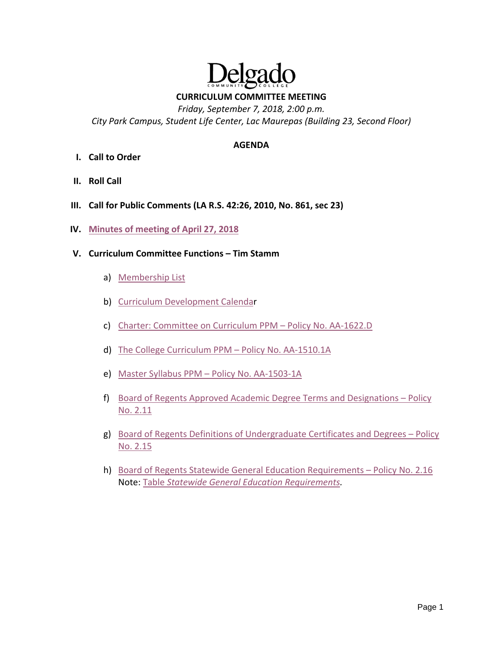

**CURRICULUM COMMITTEE MEETING**

*Friday, September 7, 2018, 2:00 p.m. City Park Campus, Student Life Center, Lac Maurepas (Building 23, Second Floor)*

### **AGENDA**

- **I. Call to Order**
- **II. Roll Call**
- **III. Call for Public Comments (LA R.S. 42:26, 2010, No. 861, sec 23)**
- **IV. [Minutes of meeting of April 27, 2018](https://drive.google.com/file/d/105E0zcDdQDptYmDJDzpbVF8v6S_xY8SP/view?usp=sharing)**
- **V. Curriculum Committee Functions – Tim Stamm**
	- a) [Membership List](http://docushare3.dcc.edu/docushare/dsweb/Get/Document-1987/OpGuide%2018-19%20Committee-%20CurriculumCommittee.pdf)
	- b) [Curriculum Development Calendar](http://docushare3.dcc.edu/docushare/dsweb/Get/Document-1915/OpGuide%2018-19%20-%20Curriculum%20Development%20Calendar.pdf)
	- c) [Charter: Committee on Curriculum PPM –](http://docushare3.dcc.edu/docushare/dsweb/Get/Document-127/1622-1D%20Curriculum%20Committee%20Charter%20Procedural%2c%20Title%20Update%207-17-14%20for%20web%20distribution%2c%20corrected.pdf) Policy No. AA-1622.D
	- d) [The College Curriculum PPM –](http://docushare3.dcc.edu/docushare/dsweb/Get/Document-34/1510-1a%20The%20College%20Curriculum%20PPM%20with%20Procedural%2c%20Title%20Updates%201-6-15%20for%20web%20distribution.pdf) Policy No. AA-1510.1A
	- e) [Master Syllabus PPM –](http://docushare3.dcc.edu/docushare/dsweb/Get/Document-32/1503-1A%20Master%20Syllabus%20PPM%20Curriculum%20Committee%20Procedural%20Update%2011-20-17%20for%20web%20distribution.pdf) Policy No. AA-1503-1A
	- f) [Board of Regents Approved Academic Degree Terms and Designations –](https://regents.la.gov/assets/docs/PRAA/Academic_Affairs/AA-2-11-2016-0504.pdf) Policy [No. 2.11](https://regents.la.gov/assets/docs/PRAA/Academic_Affairs/AA-2-11-2016-0504.pdf)
	- g) [Board of Regents Definitions of Undergraduate Certificates and Degrees –](https://regents.la.gov/divisions/planning-research-and-academic-affairs/academic-affairs/academic-affairs-policies-and-procedures/academic-affairs-policy-2-15/) Policy [No. 2.15](https://regents.la.gov/divisions/planning-research-and-academic-affairs/academic-affairs/academic-affairs-policies-and-procedures/academic-affairs-policy-2-15/)
	- h) [Board of Regents Statewide General Education Requirements –](https://regents.la.gov/divisions/planning-research-and-academic-affairs/academic-affairs/academic-affairs-policies-and-procedures/academic-affairs-policy-2-16/) Policy No. 2.16 Note: Table *[Statewide General Education Requirements.](https://regents.state.la.us/assets/docs/2014/02/AA_2.16_Statewide_GenEd_Req-Attch_-_2012_May.pdf)*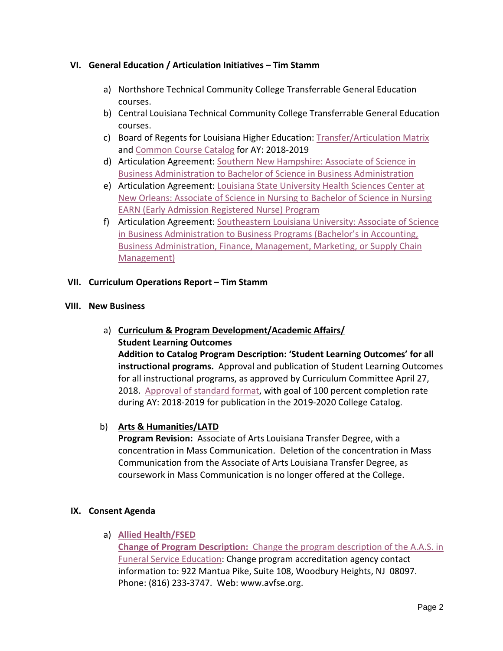# **VI. General Education / Articulation Initiatives – Tim Stamm**

- a) Northshore Technical Community College Transferrable General Education courses.
- b) Central Louisiana Technical Community College Transferrable General Education courses.
- c) Board of Regents for Louisiana Higher Education: [Transfer/Articulation Matrix](https://drive.google.com/file/d/1gJqDyBnHKXnMW0C9nFQPb1rc_E0zHQOD/view?usp=sharing) and [Common Course Catalog](https://regents.la.gov/wp-content/uploads/2018/05/CmnCrsCatalog-2018-19.pdf) for AY: 2018-2019
- d) Articulation Agreement: [Southern New Hampshire: Associate of Science in](http://docushare3.dcc.edu/docushare/dsweb/Get/Document-7121/DelgadoCommunityCollegeAssociateofScienceinBusinessAdministrationtoSouthernNewHampshireUniversityBachelorofScienceinBusinessAdministration.pdf)  [Business Administration to Bachelor of Science in Business Administration](http://docushare3.dcc.edu/docushare/dsweb/Get/Document-7121/DelgadoCommunityCollegeAssociateofScienceinBusinessAdministrationtoSouthernNewHampshireUniversityBachelorofScienceinBusinessAdministration.pdf)
- e) Articulation Agreement: [Louisiana State University Health Sciences Center at](http://docushare3.dcc.edu/docushare/dsweb/Get/Document-7162/EARN%20Agreement%20Signed%203-27-18.pdf)  [New Orleans: Associate of Science in Nursing to Bachelor of Science in Nursing](http://docushare3.dcc.edu/docushare/dsweb/Get/Document-7162/EARN%20Agreement%20Signed%203-27-18.pdf)  [EARN \(Early Admission Registered Nurse\) Program](http://docushare3.dcc.edu/docushare/dsweb/Get/Document-7162/EARN%20Agreement%20Signed%203-27-18.pdf)
- f) Articulation Agreement: [Southeastern Louisiana University: Associate of Science](http://docushare3.dcc.edu/docushare/dsweb/Get/Document-7163/DelgadoCommunityCollegeASinBusinessAdministrationtoSoutheasternLouisianaUniversityBSBusinessPrograms.pdf)  [in Business Administration to Business Programs \(Bachelor's in Accounting,](http://docushare3.dcc.edu/docushare/dsweb/Get/Document-7163/DelgadoCommunityCollegeASinBusinessAdministrationtoSoutheasternLouisianaUniversityBSBusinessPrograms.pdf)  [Business Administration, Finance, Management, Marketing, or Supply Chain](http://docushare3.dcc.edu/docushare/dsweb/Get/Document-7163/DelgadoCommunityCollegeASinBusinessAdministrationtoSoutheasternLouisianaUniversityBSBusinessPrograms.pdf)  [Management\)](http://docushare3.dcc.edu/docushare/dsweb/Get/Document-7163/DelgadoCommunityCollegeASinBusinessAdministrationtoSoutheasternLouisianaUniversityBSBusinessPrograms.pdf)

# **VII. Curriculum Operations Report – Tim Stamm**

#### **VIII. New Business**

# a) **Curriculum & Program Development/Academic Affairs/ Student Learning Outcomes**

**Addition to Catalog Program Description: 'Student Learning Outcomes' for all instructional programs.** Approval and publication of Student Learning Outcomes for all instructional programs, as approved by Curriculum Committee April 27, 2018. [Approval of standard format,](https://drive.google.com/file/d/1e0E7d6UpKD41i_m_uVio9-n4Iu6d5drw/view?usp=sharing) with goal of 100 percent completion rate during AY: 2018-2019 for publication in the 2019-2020 College Catalog.

# b) **Arts & Humanities/LATD**

**Program Revision:** Associate of Arts Louisiana Transfer Degree, with a concentration in Mass Communication. Deletion of the concentration in Mass Communication from the Associate of Arts Louisiana Transfer Degree, as coursework in Mass Communication is no longer offered at the College.

### **IX. Consent Agenda**

a) **[Allied Health/FSED](https://drive.google.com/file/d/1BHI64S4Mfh1gJWpS_tUvU4OwrUxFGaqR/view?usp=sharing)**

**Change of Program Description:** [Change the program description of the A.A.S. in](https://drive.google.com/file/d/1BHI64S4Mfh1gJWpS_tUvU4OwrUxFGaqR/view?usp=sharing)  [Funeral Service Education:](https://drive.google.com/file/d/1BHI64S4Mfh1gJWpS_tUvU4OwrUxFGaqR/view?usp=sharing) Change program accreditation agency contact information to: 922 Mantua Pike, Suite 108, Woodbury Heights, NJ 08097. Phone: (816) 233-3747. Web: www.avfse.org.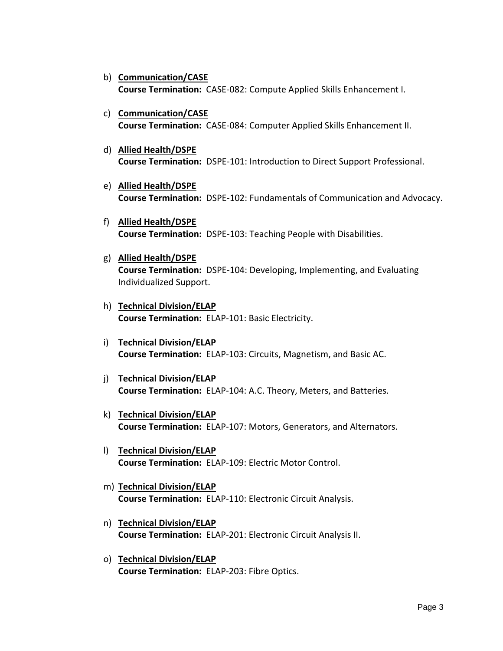- b) **Communication/CASE Course Termination:** CASE-082: Compute Applied Skills Enhancement I.
- c) **Communication/CASE Course Termination:** CASE-084: Computer Applied Skills Enhancement II.
- d) **Allied Health/DSPE Course Termination:** DSPE-101: Introduction to Direct Support Professional.
- e) **Allied Health/DSPE Course Termination:** DSPE-102: Fundamentals of Communication and Advocacy.
- f) **Allied Health/DSPE Course Termination:** DSPE-103: Teaching People with Disabilities.
- g) **Allied Health/DSPE Course Termination:** DSPE-104: Developing, Implementing, and Evaluating Individualized Support.
- h) **Technical Division/ELAP Course Termination:** ELAP-101: Basic Electricity.
- i) **Technical Division/ELAP Course Termination:** ELAP-103: Circuits, Magnetism, and Basic AC.
- j) **Technical Division/ELAP Course Termination:** ELAP-104: A.C. Theory, Meters, and Batteries.
- k) **Technical Division/ELAP Course Termination:** ELAP-107: Motors, Generators, and Alternators.
- l) **Technical Division/ELAP Course Termination:** ELAP-109: Electric Motor Control.
- m) **Technical Division/ELAP Course Termination:** ELAP-110: Electronic Circuit Analysis.
- n) **Technical Division/ELAP Course Termination:** ELAP-201: Electronic Circuit Analysis II.
- o) **Technical Division/ELAP Course Termination:** ELAP-203: Fibre Optics.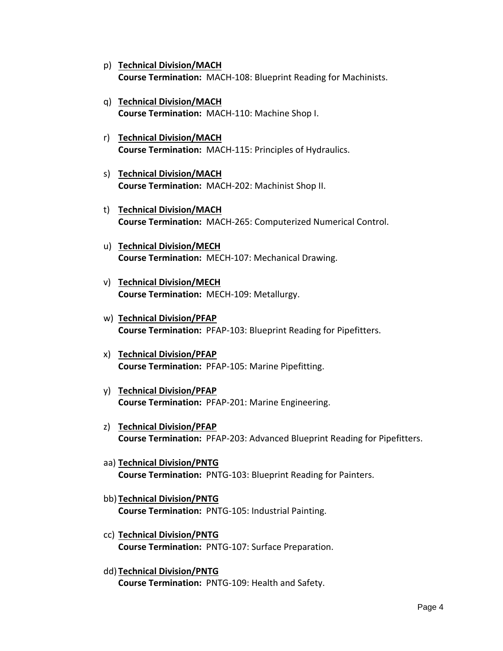- p) **Technical Division/MACH Course Termination:** MACH-108: Blueprint Reading for Machinists.
- q) **Technical Division/MACH Course Termination:** MACH-110: Machine Shop I.
- r) **Technical Division/MACH Course Termination:** MACH-115: Principles of Hydraulics.
- s) **Technical Division/MACH Course Termination:** MACH-202: Machinist Shop II.
- t) **Technical Division/MACH Course Termination:** MACH-265: Computerized Numerical Control.
- u) **Technical Division/MECH Course Termination:** MECH-107: Mechanical Drawing.
- v) **Technical Division/MECH Course Termination:** MECH-109: Metallurgy.
- w) **Technical Division/PFAP Course Termination:** PFAP-103: Blueprint Reading for Pipefitters.
- x) **Technical Division/PFAP Course Termination:** PFAP-105: Marine Pipefitting.
- y) **Technical Division/PFAP Course Termination:** PFAP-201: Marine Engineering.
- z) **Technical Division/PFAP Course Termination:** PFAP-203: Advanced Blueprint Reading for Pipefitters.
- aa) **Technical Division/PNTG Course Termination:** PNTG-103: Blueprint Reading for Painters.
- bb) **Technical Division/PNTG Course Termination:** PNTG-105: Industrial Painting.
- cc) **Technical Division/PNTG Course Termination:** PNTG-107: Surface Preparation.
- dd) **Technical Division/PNTG Course Termination:** PNTG-109: Health and Safety.